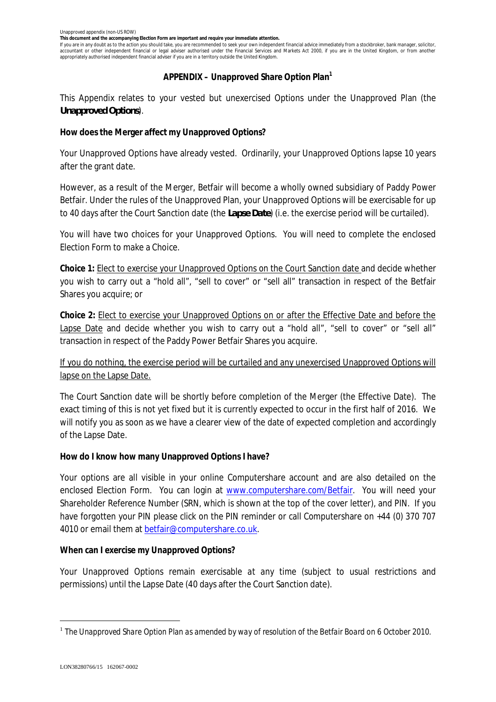**This document and the accompanying Election Form are important and require your immediate attention.**

If you are in any doubt as to the action you should take, you are recommended to seek your own independent financial advice immediately from a stockbroker, bank manager, solicitor, accountant or other independent financial or legal adviser authorised under the Financial Services and Markets Act 2000, if you are in the United Kingdom, or from another appropriately authorised independent financial adviser if you are in a territory outside the United Kingdom.

## **APPENDIX – Unapproved Share Option Plan<sup>1</sup>**

This Appendix relates to your vested but unexercised Options under the Unapproved Plan (the *Unapproved Options*).

**How does the Merger affect my Unapproved Options?**

Your Unapproved Options have already vested. Ordinarily, your Unapproved Options lapse 10 years after the grant date.

However, as a result of the Merger, Betfair will become a wholly owned subsidiary of Paddy Power Betfair. Under the rules of the Unapproved Plan, your Unapproved Options will be exercisable for up to 40 days after the Court Sanction date (the *Lapse Date*) (i.e. the exercise period will be curtailed).

You will have two choices for your Unapproved Options. You will need to complete the enclosed Election Form to make a Choice.

**Choice 1:** Elect to exercise your Unapproved Options on the Court Sanction date and decide whether you wish to carry out a "hold all", "sell to cover" or "sell all" transaction in respect of the Betfair Shares you acquire; or

**Choice 2:** Elect to exercise your Unapproved Options on or after the Effective Date and before the Lapse Date and decide whether you wish to carry out a "hold all", "sell to cover" or "sell all" transaction in respect of the Paddy Power Betfair Shares you acquire.

If you do nothing, the exercise period will be curtailed and any unexercised Unapproved Options will lapse on the Lapse Date.

The Court Sanction date will be shortly before completion of the Merger (the Effective Date). The exact timing of this is not yet fixed but it is currently expected to occur in the first half of 2016. We will notify you as soon as we have a clearer view of the date of expected completion and accordingly of the Lapse Date.

**How do I know how many Unapproved Options I have?**

Your options are all visible in your online Computershare account and are also detailed on the enclosed Election Form. You can login at www.computershare.com/Betfair. You will need your Shareholder Reference Number (SRN, which is shown at the top of the cover letter), and PIN. If you have forgotten your PIN please click on the PIN reminder or call Computershare on +44 (0) 370 707 4010 or email them at betfair@computershare.co.uk.

**When can I exercise my Unapproved Options?**

Your Unapproved Options remain exercisable *at any time* (subject to usual restrictions and permissions) until the Lapse Date (40 days after the Court Sanction date).

<sup>&</sup>lt;sup>1</sup> The Unapproved Share Option Plan as amended by way of resolution of the Betfair Board on 6 October 2010.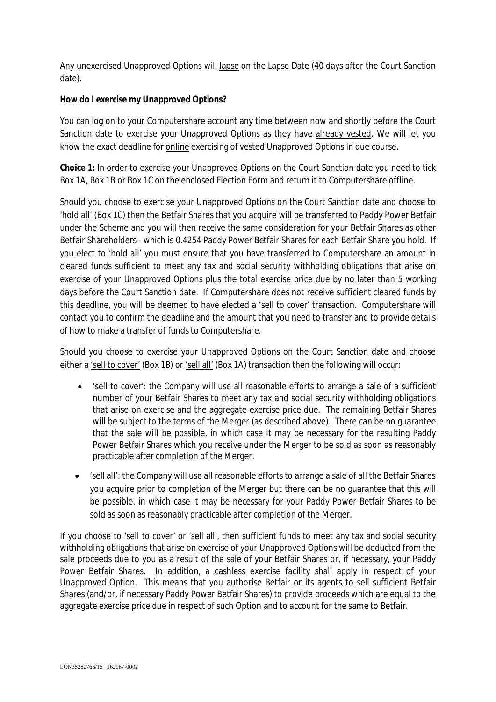Any unexercised Unapproved Options will lapse on the Lapse Date (40 days after the Court Sanction date).

**How do I exercise my Unapproved Options?**

You can log on to your Computershare account any time between now and shortly before the Court Sanction date to exercise your Unapproved Options as they have already vested. We will let you know the exact deadline for **online** exercising of vested Unapproved Options in due course.

**Choice 1:** In order to exercise your Unapproved Options on the Court Sanction date you need to tick Box 1A, Box 1B or Box 1C on the enclosed Election Form and return it to Computershare offline.

Should you choose to exercise your Unapproved Options on the Court Sanction date and choose to 'hold all' (Box 1C) then the Betfair Shares that you acquire will be transferred to Paddy Power Betfair under the Scheme and you will then receive the same consideration for your Betfair Shares as other Betfair Shareholders - which is 0.4254 Paddy Power Betfair Shares for each Betfair Share you hold. If you elect to 'hold all' you must ensure that you have transferred to Computershare an amount in cleared funds sufficient to meet any tax and social security withholding obligations that arise on exercise of your Unapproved Options plus the total exercise price due by no later than 5 working days before the Court Sanction date. If Computershare does not receive sufficient cleared funds by this deadline, you will be deemed to have elected a 'sell to cover' transaction. Computershare will contact you to confirm the deadline and the amount that you need to transfer and to provide details of how to make a transfer of funds to Computershare.

Should you choose to exercise your Unapproved Options on the Court Sanction date and choose either a 'sell to cover' (Box 1B) or 'sell all' (Box 1A) transaction then the following will occur:

- · 'sell to cover': the Company will use all reasonable efforts to arrange a sale of a sufficient number of your Betfair Shares to meet any tax and social security withholding obligations that arise on exercise and the aggregate exercise price due. The remaining Betfair Shares will be subject to the terms of the Merger (as described above). There can be no guarantee that the sale will be possible, in which case it may be necessary for the resulting Paddy Power Betfair Shares which you receive under the Merger to be sold as soon as reasonably practicable after completion of the Merger.
- · 'sell all': the Company will use all reasonable efforts to arrange a sale of all the Betfair Shares you acquire prior to completion of the Merger but there can be no guarantee that this will be possible, in which case it may be necessary for your Paddy Power Betfair Shares to be sold as soon as reasonably practicable after completion of the Merger.

If you choose to 'sell to cover' or 'sell all', then sufficient funds to meet any tax and social security withholding obligations that arise on exercise of your Unapproved Options will be deducted from the sale proceeds due to you as a result of the sale of your Betfair Shares or, if necessary, your Paddy Power Betfair Shares. In addition, a cashless exercise facility shall apply in respect of your Unapproved Option. This means that you authorise Betfair or its agents to sell sufficient Betfair Shares (and/or, if necessary Paddy Power Betfair Shares) to provide proceeds which are equal to the aggregate exercise price due in respect of such Option and to account for the same to Betfair.